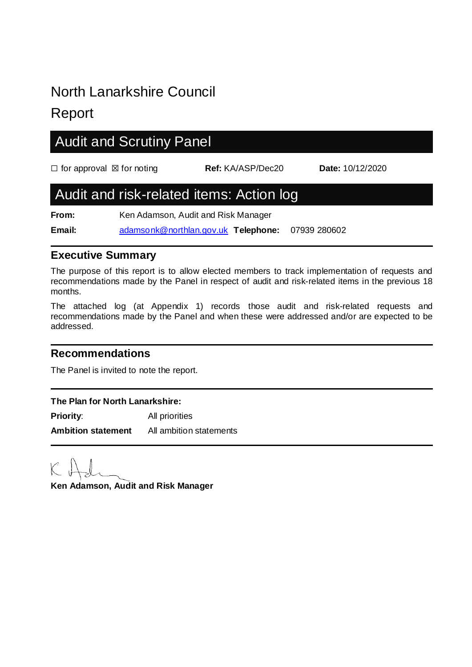# North Lanarkshire Council

## Report

# Audit and Scrutiny Panel ☐ for approval ☒ for noting **Ref:** KA/ASP/Dec20 **Date:** 10/12/2020 Audit and risk-related items: Action log **From:** Ken Adamson, Audit and Risk Manager **Email:** [adamsonk@northlan.gov.uk](mailto:adamsonk@northlan.gov.uk) **Telephone:** 07939 280602

#### **Executive Summary**

The purpose of this report is to allow elected members to track implementation of requests and recommendations made by the Panel in respect of audit and risk-related items in the previous 18 months.

The attached log (at Appendix 1) records those audit and risk-related requests and recommendations made by the Panel and when these were addressed and/or are expected to be addressed.

### **Recommendations**

The Panel is invited to note the report.

#### **The Plan for North Lanarkshire:**

**Priority:** All priorities **Ambition statement** All ambition statements

**Ken Adamson, Audit and Risk Manager**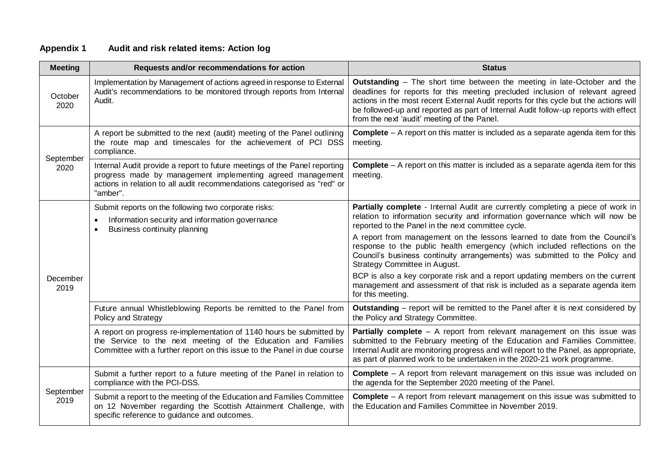| <b>Meeting</b>    | Requests and/or recommendations for action                                                                                                                                                                                      | <b>Status</b>                                                                                                                                                                                                                                                                                                                                                                            |
|-------------------|---------------------------------------------------------------------------------------------------------------------------------------------------------------------------------------------------------------------------------|------------------------------------------------------------------------------------------------------------------------------------------------------------------------------------------------------------------------------------------------------------------------------------------------------------------------------------------------------------------------------------------|
| October<br>2020   | Implementation by Management of actions agreed in response to External<br>Audit's recommendations to be monitored through reports from Internal<br>Audit.                                                                       | Outstanding - The short time between the meeting in late-October and the<br>deadlines for reports for this meeting precluded inclusion of relevant agreed<br>actions in the most recent External Audit reports for this cycle but the actions will<br>be followed-up and reported as part of Internal Audit follow-up reports with effect<br>from the next 'audit' meeting of the Panel. |
| September<br>2020 | A report be submitted to the next (audit) meeting of the Panel outlining<br>the route map and timescales for the achievement of PCI DSS<br>compliance.                                                                          | <b>Complete</b> $-$ A report on this matter is included as a separate agenda item for this<br>meeting.                                                                                                                                                                                                                                                                                   |
|                   | Internal Audit provide a report to future meetings of the Panel reporting<br>progress made by management implementing agreed management<br>actions in relation to all audit recommendations categorised as "red" or<br>"amber". | <b>Complete</b> $-$ A report on this matter is included as a separate agenda item for this<br>meeting.                                                                                                                                                                                                                                                                                   |
| December<br>2019  | Submit reports on the following two corporate risks:<br>Information security and information governance<br>$\bullet$<br>Business continuity planning                                                                            | Partially complete - Internal Audit are currently completing a piece of work in<br>relation to information security and information governance which will now be<br>reported to the Panel in the next committee cycle.                                                                                                                                                                   |
|                   |                                                                                                                                                                                                                                 | A report from management on the lessons learned to date from the Council's<br>response to the public health emergency (which included reflections on the<br>Council's business continuity arrangements) was submitted to the Policy and<br>Strategy Committee in August.                                                                                                                 |
|                   |                                                                                                                                                                                                                                 | BCP is also a key corporate risk and a report updating members on the current<br>management and assessment of that risk is included as a separate agenda item<br>for this meeting.                                                                                                                                                                                                       |
|                   | Future annual Whistleblowing Reports be remitted to the Panel from<br>Policy and Strategy                                                                                                                                       | Outstanding - report will be remitted to the Panel after it is next considered by<br>the Policy and Strategy Committee.                                                                                                                                                                                                                                                                  |
|                   | A report on progress re-implementation of 1140 hours be submitted by<br>the Service to the next meeting of the Education and Families<br>Committee with a further report on this issue to the Panel in due course               | Partially complete - A report from relevant management on this issue was<br>submitted to the February meeting of the Education and Families Committee.<br>Internal Audit are monitoring progress and will report to the Panel, as appropriate,<br>as part of planned work to be undertaken in the 2020-21 work programme.                                                                |
| September<br>2019 | Submit a further report to a future meeting of the Panel in relation to<br>compliance with the PCI-DSS.                                                                                                                         | <b>Complete</b> – A report from relevant management on this issue was included on<br>the agenda for the September 2020 meeting of the Panel.                                                                                                                                                                                                                                             |
|                   | Submit a report to the meeting of the Education and Families Committee<br>on 12 November regarding the Scottish Attainment Challenge, with<br>specific reference to guidance and outcomes.                                      | <b>Complete</b> – A report from relevant management on this issue was submitted to<br>the Education and Families Committee in November 2019.                                                                                                                                                                                                                                             |

#### **Appendix 1 Audit and risk related items: Action log**